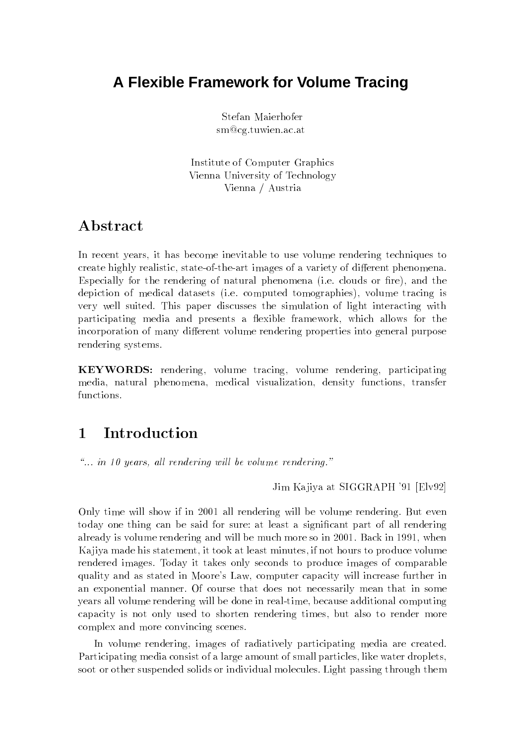# **A Flexible Framework for Volume Tracing**

Stefan Maierhofer sm@cg.tuwien.ac.at

Institute of Computer Graphics Vienna University of Technology Vienna / Austria

# Abstract

In recent years, it has become inevitable to use volume rendering techniques to create highly realistic, state-of-the-art images of a variety of different phenomena. Especially for the rendering of natural phenomena (i.e. clouds or fire), and the depiction of medical datasets (i.e. computed tomographies), volume tracing is very well suited. This paper discusses the simulation of light interacting with participating media and presents a flexible framework, which allows for the incorporation of many different volume rendering properties into general purpose rendering systems.

KEYWORDS: rendering, volume tracing, volume rendering, participating media, natural phenomena, medical visualization, density functions, transfer functions.

### Introduction  $\mathbf 1$

 $\ldots$  in 10 years, all rendering will be volume rendering."

Jim Kajiya at SIGGRAPH '91 [Elv92]

Only time will show if in 2001 all rendering will be volume rendering. But even today one thing can be said for sure: at least a significant part of all rendering already is volume rendering and will be much more so in 2001. Back in 1991, when Ka jiya made his statement, it took at least minutes, if not hours to produce volume rendered images. Today it takes only seconds to produce images of comparable quality and as stated in Moore's Law, computer capacity will increase further in an exponential manner. Of course that does not necessarily mean that in some years all volume rendering will be done in real-time, because additional computing capacity is not only used to shorten rendering times, but also to render more complex and more convincing scenes.

In volume rendering, images of radiatively participating media are created. Participating media consist of a large amount of small particles, like water droplets, soot or other suspended solids or individual molecules. Light passing through them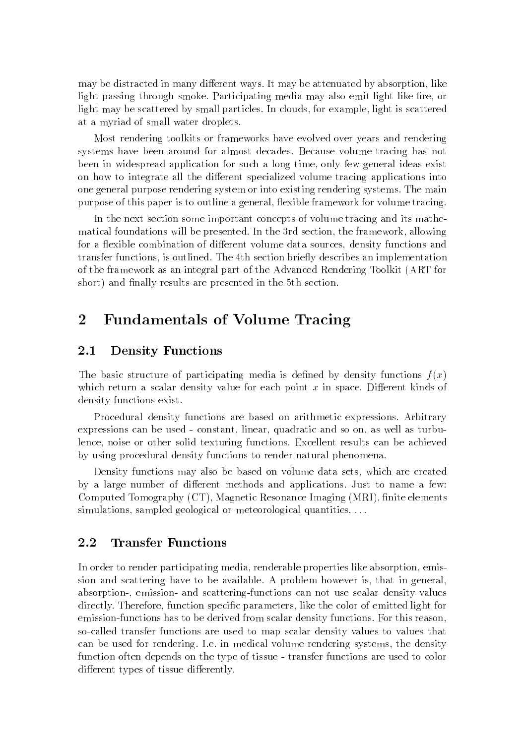may be distracted in many different ways. It may be attenuated by absorption, like light passing through smoke. Participating media may also emit light like fire, or light may be scattered by small particles. In clouds, for example, light is scattered at a myriad of small water droplets.

Most rendering toolkits or frameworks have evolved over years and rendering systems have been around for almost decades. Because volume tracing has not been in widespread application for such a long time, only few general ideas exist on how to integrate all the different specialized volume tracing applications into one general purpose rendering system or into existing rendering systems. The main purpose of this paper is to outline a general, flexible framework for volume tracing.

In the next section some important concepts of volume tracing and its mathematical foundations will be presented. In the 3rd section, the framework, allowing for a flexible combination of different volume data sources, density functions and transfer functions, is outlined. The 4th section briefly describes an implementation of the framework as an integral part of the Advanced Rendering Toolkit (ART for short) and finally results are presented in the 5th section.

## 2 Fundamentals of Volume Tracing

#### 2.1Density Functions

The basic structure of participating media is defined by density functions  $f(x)$ which return a scalar density value for each point  $x$  in space. Different kinds of density functions exist.

Procedural density functions are based on arithmetic expressions. Arbitrary expressions can be used - constant, linear, quadratic and so on, as well as turbulence, noise or other solid texturing functions. Excellent results can be achieved by using procedural density functions to render natural phenomena.

Density functions may also be based on volume data sets, which are created by a large number of different methods and applications. Just to name a few: Computed Tomography (CT), Magnetic Resonance Imaging (MRI), finite elements simulations, sampled geological or meteorological quantities, . . .

#### 2.2Transfer Functions

In order to render participating media, renderable properties like absorption, emission and scattering have to be available. A problem however is, that in general, absorption-, emission- and scattering-functions can not use scalar density values directly. Therefore, function specic parameters, like the color of emitted light for emission-functions has to be derived from scalar density functions. For this reason, so-called transfer functions are used to map scalar density values to values that can be used for rendering. I.e. in medical volume rendering systems, the density function often depends on the type of tissue - transfer functions are used to color different types of tissue differently.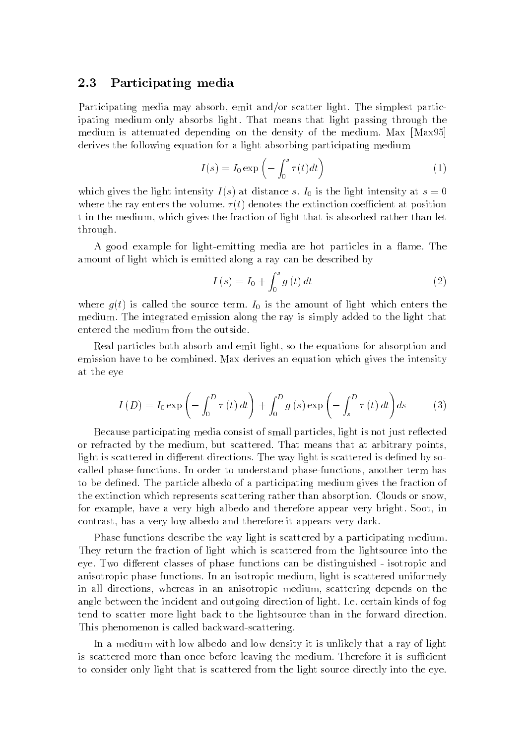#### 2.3Participating media

Participating media may absorb, emit and/or scatter light. The simplest participating medium only absorbs light. That means that light passing through the medium is attenuated depending on the density of the medium. Max [Max95] derives the following equation for a light absorbing participating medium

$$
I(s) = I_0 \exp\left(-\int_0^s \tau(t)dt\right)
$$
 (1)

which gives the light intensity  $I(s)$  at distance s.  $I_0$  is the light intensity at  $s = 0$ where the ray enters the volume.  $\tau(t)$  denotes the extinction coefficient at position t in the medium, which gives the fraction of light that is absorbed rather than let through.

A good example for light-emitting media are hot particles in a flame. The amount of light which is emitted along a ray can be described by

$$
I(s) = I_0 + \int_0^s g(t) dt
$$
 (2)

where  $g(t)$  is called the source term.  $I_0$  is the amount of light which enters the medium. The integrated emission along the ray is simply added to the light that entered the medium from the outside.

Real particles both absorb and emit light, so the equations for absorption and emission have to be combined. Max derives an equation which gives the intensity at the eye

$$
I(D) = I_0 \exp\left(-\int_0^D \tau(t) dt\right) + \int_0^D g(s) \exp\left(-\int_s^D \tau(t) dt\right) ds \tag{3}
$$

Because participating media consist of small particles, light is not just reflected or refracted by the medium, but scattered. That means that at arbitrary points, light is scattered in different directions. The way light is scattered is defined by socalled phase-functions. In order to understand phase-functions, another term has to be defined. The particle albedo of a participating medium gives the fraction of the extinction which represents scattering rather than absorption. Clouds or snow, for example, have a very high albedo and therefore appear very bright. Soot, in contrast, has a very low albedo and therefore it appears very dark.

Phase functions describe the way light is scattered by a participating medium. They return the fraction of light which is scattered from the lightsource into the eye. Two different classes of phase functions can be distinguished - isotropic and anisotropic phase functions. In an isotropic medium, light is scattered uniformely in all directions, whereas in an anisotropic medium, scattering depends on the angle between the incident and outgoing direction of light. I.e. certain kinds of fog tend to scatter more light back to the lightsource than in the forward direction. This phenomenon is called backward-scattering.

In a medium with low albedo and low density it is unlikely that a ray of light is scattered more than once before leaving the medium. Therefore it is sufficient to consider only light that is scattered from the light source directly into the eye.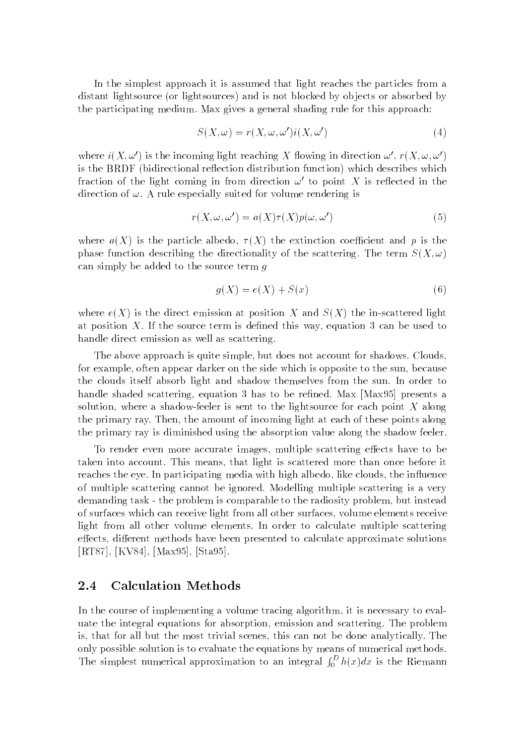In the simplest approach it is assumed that light reaches the particles from a distant lightsource (or lightsources) and is not blocked by ob jects or absorbed by the participating medium. Max gives a general shading rule for this approach:

$$
S(X,\omega) = r(X,\omega,\omega')i(X,\omega')
$$
 (4)

where  $i(X, \omega')$  is the incoming light reaching X flowing in direction  $\omega'$ .  $r(X, \omega, \omega')$ is the BRDF (bidirectional reflection distribution function) which describes which fraction of the light coming in from direction  $\omega'$  to point X is reflected in the direction of  $\omega$ . A rule especially suited for volume rendering is

$$
r(X, \omega, \omega') = a(X)\tau(X)p(\omega, \omega')
$$
\n(5)

where  $a(X)$  is the particle albedo,  $\tau(X)$  the extinction coefficient and p is the phase function describing the directionality of the scattering. The term  $S(X, \omega)$ can simply be added to the source term  $q$ 

$$
g(X) = e(X) + S(x) \tag{6}
$$

where  $e(X)$  is the direct emission at position X and  $S(X)$  the in-scattered light at position  $X$ . If the source term is defined this way, equation 3 can be used to handle direct emission as well as scattering.

The above approach is quite simple, but does not account for shadows. Clouds, for example, often appear darker on the side which is opposite to the sun, because the clouds itself absorb light and shadow themselves from the sun. In order to handle shaded scattering, equation 3 has to be refined. Max [Max95] presents a solution, where a shadow-feeler is sent to the lightsource for each point  $X$  along the primary ray. Then, the amount of incoming light at each of these points along the primary ray is diminished using the absorption value along the shadow feeler.

To render even more accurate images, multiple scattering effects have to be taken into account. This means, that light is scattered more than once before it reaches the eye. In participating media with high albedo, like clouds, the influence of multiple scattering cannot be ignored. Modelling multiple scattering is a very demanding task - the problem is comparable to the radiosity problem, but instead of surfaces which can receive light from all other surfaces, volume elements receive light from all other volume elements. In order to calculate multiple scattering effects, different methods have been presented to calculate approximate solutions [RT87], [KV84], [Max95], [Sta95].

#### $2.4$  Calculation Methods 2.4

In the course of implementing a volume tracing algorithm, it is necessary to evaluate the integral equations for absorption, emission and scattering. The problem is, that for all but the most trivial scenes, this can not be done analytically. The only possible solution is to evaluate the equations by means of numerical methods. The simplest numerical approximation to an integral  $\int_0^D h(x)dx$  is the Riemann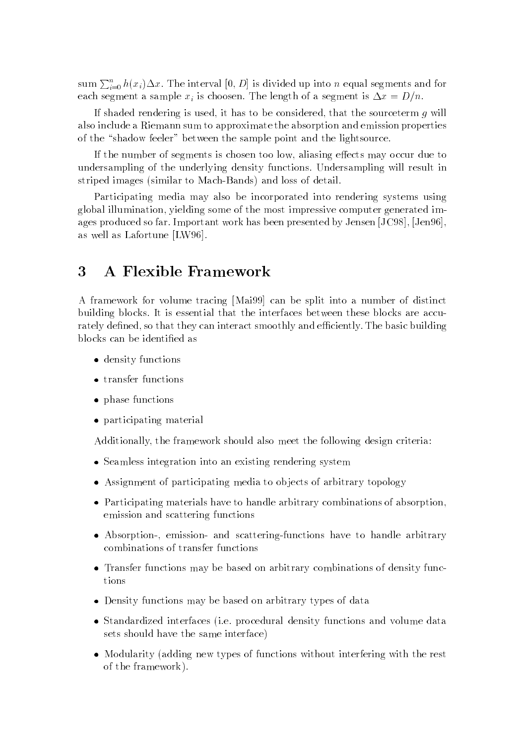sum  $\sum_{i=0}^n h(x_i) \Delta x$ . The interval  $[0, D]$  is divided up into n equal segments and for each segment a sample  $x_i$  is choosen. The length of a segment is  $\Delta x = D/n$ .

If shaded rendering is used, it has to be considered, that the sourceterm  $q$  will also include a Riemann sum to approximate the absorption and emission properties of the "shadow feeler" between the sample point and the lightsource.

If the number of segments is chosen too low, aliasing effects may occur due to undersampling of the underlying density functions. Undersampling will result in striped images (similar to Mach-Bands) and loss of detail.

Participating media may also be incorporated into rendering systems using global illumination, yielding some of the most impressive computer generated images produced so far. Important work has been presented by Jensen [JC98], [Jen96], as well as Lafortune [LW96].

#### 3 3 A Flexible Framework

A framework for volume tracing [Mai99] can be split into a number of distinct building blocks. It is essential that the interfaces between these blocks are accurately defined, so that they can interact smoothly and efficiently. The basic building blocks can be identied as

- density functions in the contract of the contract of the contract of the contract of the contract of the contract of the contract of the contract of the contract of the contract of the contract of the contract of the contr
- transfer functions
- $p$  incept  $f$  and  $f$  is  $f$  is  $f$  is  $f$  is  $f$  is  $f$  is  $f$  is  $f$  is  $f$  is  $f$  is  $f$  is  $f$  is  $f$  is  $f$  is  $f$  is  $f$  is  $f$  is  $f$  is  $f$  is  $f$  is  $f$  is  $f$  is  $f$  is  $f$  is  $f$  is  $f$  is  $f$  is  $f$  is  $f$  is
- participating material

Additionally, the framework should also meet the following design criteria:

- Seamless integration into an existing rendering system
- Assignment of participating media to ob jects of arbitrary topology
- Participating materials have to handle arbitrary combinations of absorption, emission and scattering functions
- Absorption-, emission- and scattering-functions have to handle arbitrary combinations of transfer functions
- Transfer functions may be based on arbitrary combinations of density functions
- Density functions may be based on arbitrary types of data
- Standardized interfaces (i.e. procedural density functions and volume data sets should have the same interface)
- Modularity (adding new types of functions without interfering with the rest of the framework).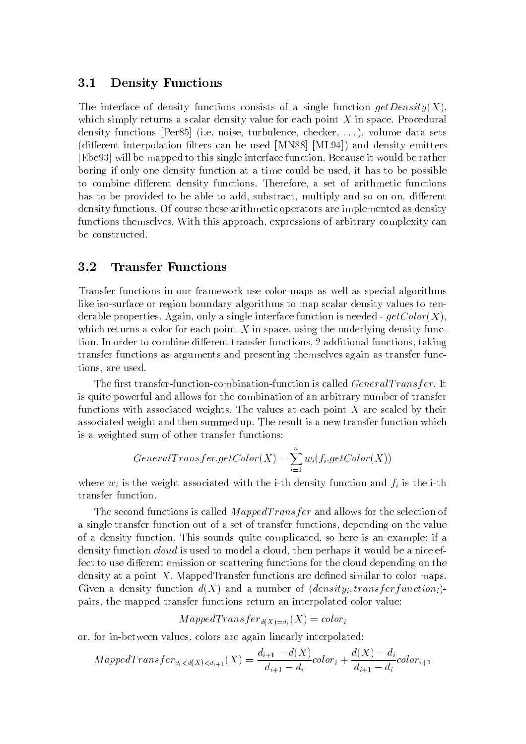#### 3.1Density Functions

The interface of density functions consists of a single function  $qetDensity(X)$ , which simply returns a scalar density value for each point  $X$  in space. Procedural density functions [Per85] (i.e. noise, turbulence, checker, . . . ), volume data sets (different interpolation filters can be used  $[MN88]$   $[ML94]$ ) and density emitters [Ebe93] will be mapped to this single interface function. Because it would be rather boring if only one density function at a time could be used, it has to be possible to combine different density functions. Therefore, a set of arithmetic functions has to be provided to be able to add, substract, multiply and so on on, different density functions. Of course these arithmetic operators are implemented as density functions themselves. With this approach, expressions of arbitrary complexity can be constructed.

#### $3.2$  Transfer Functions - -

Transfer functions in our framework use color-maps as well as special algorithms like iso-surface or region boundary algorithms to map scalar density values to renderable properties. Again, only a single interface function is needed -  $getColor(X)$ . which returns a color for each point  $X$  in space, using the underlying density function. In order to combine different transfer functions, 2 additional functions, taking transfer functions as arguments and presenting themselves again as transfer functions, are used.

The first transfer-function-combination-function is called  $General Transfer$ . It is quite powerful and allows for the combination of an arbitrary number of transfer functions with associated weights. The values at each point  $X$  are scaled by their associated weight and then summed up. The result is a new transfer function which is a weighted sum of other transfer functions:

$$
General Transfer.getColor(X) = \sum_{i=1}^{n} w_i(f_i.getColor(X))
$$

where  $w_i$  is the weight associated with the i-th density function and  $f_i$  is the i-th transfer function.

The second functions is called  $MapedTransfer$  and allows for the selection of a single transfer function out of a set of transfer functions, depending on the value of a density function. This sounds quite complicated, so here is an example: if a density function cloud is used to model a cloud, then perhaps it would be a nice effect to use different emission or scattering functions for the cloud depending on the density at a point  $X$ . MappedTransfer functions are defined similar to color maps. Given a density function  $d(X)$  and a number of  $(density_i, transfer function_i)$ pairs, the mapped transfer functions return an interpolated color value:

 $MapedTransfer_{d(X)=d_i}(X) = color_i$ 

or, for in-between values, colors are again linearly interpolated:

$$
MapedTransfer_{d_i < d(X) < d_{i+1}}(X) = \frac{d_{i+1} - d(X)}{d_{i+1} - d_i} color_i + \frac{d(X) - d_i}{d_{i+1} - d_i} color_{i+1}
$$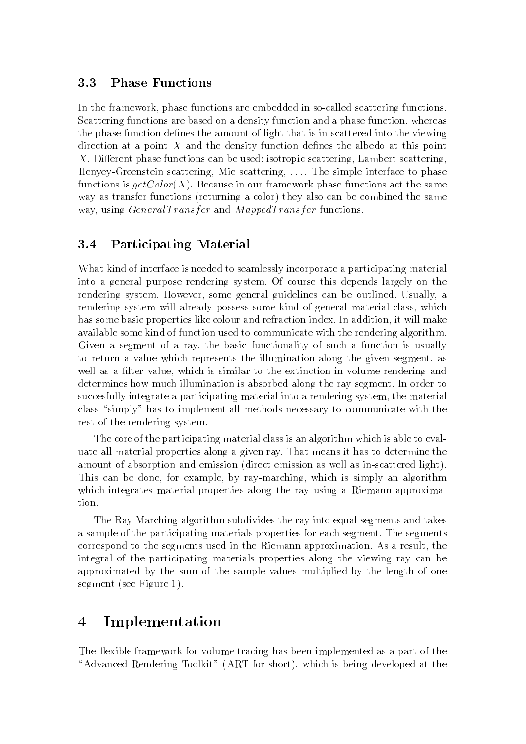#### 3.3Phase Functions

In the framework, phase functions are embedded in so-called scattering functions. Scattering functions are based on a density function and a phase function, whereas the phase function defines the amount of light that is in-scattered into the viewing direction at a point X and the density function defines the albedo at this point  $X$ . Different phase functions can be used: isotropic scattering, Lambert scattering, Henyey-Greenstein scattering, Mie scattering, . . . . The simple interface to phase functions is  $getColor(X)$ . Because in our framework phase functions act the same way as transfer functions (returning a color) they also can be combined the same way, using  $General Transfer$  and  $MappedTransfer$  functions.

#### 3.4Participating Material

What kind of interface is needed to seamlessly incorporate a participating material into a general purpose rendering system. Of course this depends largely on the rendering system. However, some general guidelines can be outlined. Usually, a rendering system will already possess some kind of general material class, which has some basic properties like colour and refraction index. In addition, it will make available some kind of function used to communicate with the rendering algorithm. Given a segment of a ray, the basic functionality of such a function is usually to return a value which represents the illumination along the given segment, as well as a filter value, which is similar to the extinction in volume rendering and determines how much illumination is absorbed along the ray segment. In order to succesfully integrate a participating material into a rendering system, the material class "simply" has to implement all methods necessary to communicate with the rest of the rendering system.

The core of the participating material class is an algorithm which is able to evaluate all material properties along a given ray. That means it has to determine the amount of absorption and emission (direct emission as well as in-scattered light). This can be done, for example, by ray-marching, which is simply an algorithm which integrates material properties along the ray using a Riemann approxima-

The Ray Marching algorithm subdivides the ray into equal segments and takes a sample of the participating materials properties for each segment. The segments correspond to the segments used in the Riemann approximation. As a result, the integral of the participating materials properties along the viewing ray can be approximated by the sum of the sample values multiplied by the length of one segment (see Figure 1).

### **Implementation**  $\overline{4}$

The flexible framework for volume tracing has been implemented as a part of the "Advanced Rendering Toolkit" (ART for short), which is being developed at the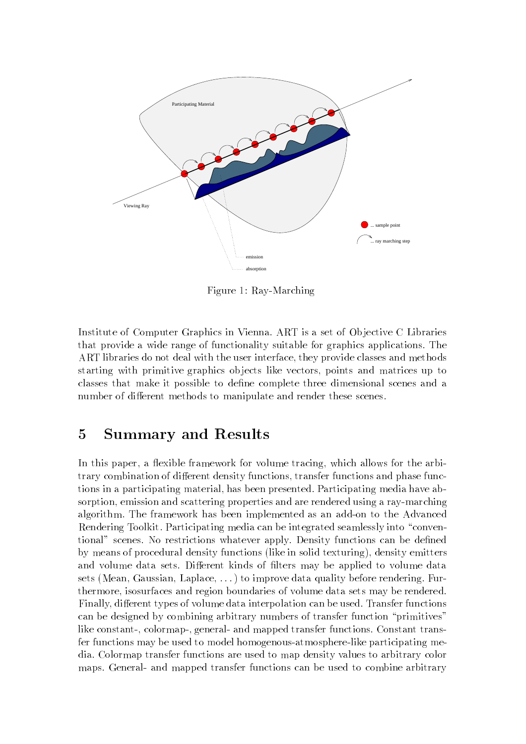

Figure 1: Ray-Marching

Institute of Computer Graphics in Vienna. ART is a set of Ob jective C Libraries that provide a wide range of functionality suitable for graphics applications. The ART libraries do not deal with the user interface, they provide classes and methods starting with primitive graphics ob jects like vectors, points and matrices up to classes that make it possible to define complete three dimensional scenes and a number of different methods to manipulate and render these scenes.

# 5 Summary and Results

In this paper, a flexible framework for volume tracing, which allows for the arbitrary combination of different density functions, transfer functions and phase functions in a participating material, has been presented. Participating media have absorption, emission and scattering properties and are rendered using a ray-marching algorithm. The framework has been implemented as an add-on to the Advanced Rendering Toolkit. Participating media can be integrated seamlessly into "conventional" scenes. No restrictions whatever apply. Density functions can be dened by means of procedural density functions (like in solid texturing), density emitters and volume data sets. Different kinds of filters may be applied to volume data sets (Mean, Gaussian, Laplace, . . . ) to improve data quality before rendering. Furthermore, isosurfaces and region boundaries of volume data sets may be rendered. Finally, different types of volume data interpolation can be used. Transfer functions can be designed by combining arbitrary numbers of transfer function "primitives" like constant-, colormap-, general- and mapped transfer functions. Constant transfer functions may be used to model homogenous-atmosphere-like participating media. Colormap transfer functions are used to map density values to arbitrary color maps. General- and mapped transfer functions can be used to combine arbitrary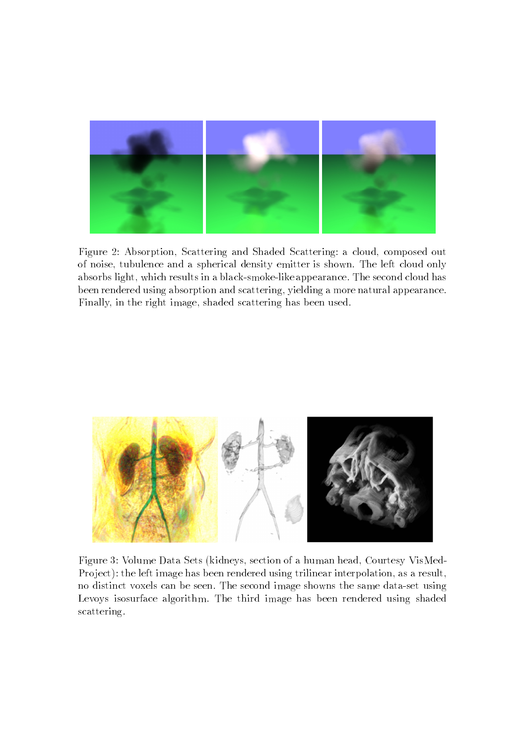

Figure 2: Absorption, Scattering and Shaded Scattering: a cloud, composed out of noise, tubulence and a spherical density emitter is shown. The left cloud only absorbs light, which results in a black-smoke-like appearance. The second cloud has been rendered using absorption and scattering, yielding a more natural appearance. Finally, in the right image, shaded scattering has been used.



Figure 3: Volume Data Sets (kidneys, section of a human head, Courtesy VisMed-Project): the left image has been rendered using trilinear interpolation, as a result, no distinct voxels can be seen. The second image showns the same data-set using Levoys isosurface algorithm. The third image has been rendered using shaded scattering.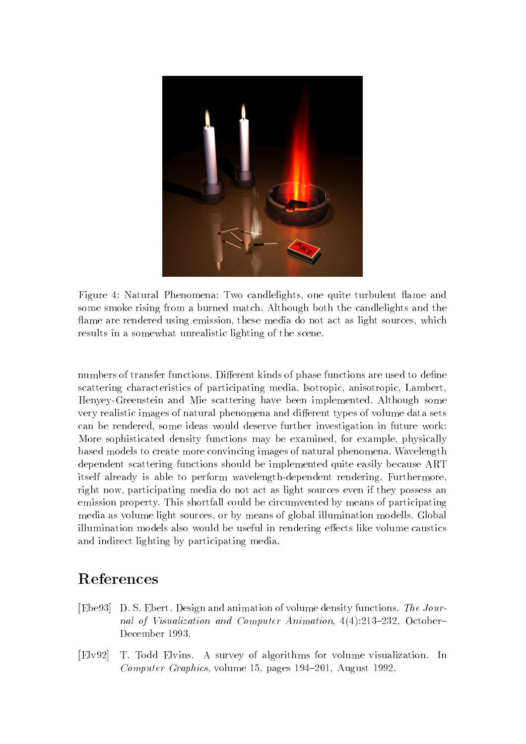

Figure 4: Natural Phenomena: Two candlelights, one quite turbulent flame and some smoke rising from a burned match. Although both the candlelights and the flame are rendered using emission, these media do not act as light sources, which results in a somewhat unrealistic lighting of the scene.

numbers of transfer functions. Different kinds of phase functions are used to define scattering characteristics of participating media. Isotropic, anisotropic, Lambert, Henyey-Greenstein and Mie scattering have been implemented. Although some very realistic images of natural phenomena and different types of volume data sets can be rendered, some ideas would deserve further investigation in future work: More sophisticated density functions may be examined, for example, physically based models to create more convincing images of natural phenomena. Wavelength dependent scattering functions should be implemented quite easily because ART itself already is able to perform wavelength-dependent rendering. Furthermore, right now, participating media do not act as light sources even if they possess an emission property. This shortfall could be circumvented by means of participating media as volume light sources, or by means of global illumination modells. Global illumination models also would be useful in rendering effects like volume caustics and indirect lighting by participating media.

# **References**

- [Ebe93] D. S. Ebert. Design and animation of volume density functions. The Journal of Visualization and Computer Animation,  $4(4):213-232$ , October-December 1993.
- [Elv92] T. Todd Elvins. A survey of algorithms for volume visualization. In Computer Graphics, volume 15, pages  $194-201$ , August 1992.